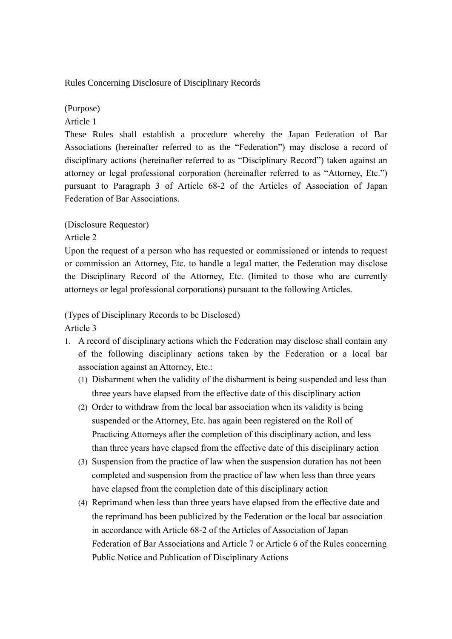Rules Concerning Disclosure of Disciplinary Records

### (Purpose)

#### Article 1

These Rules shall establish a procedure whereby the Japan Federation of Bar Associations (hereinafter referred to as the "Federation") may disclose a record of disciplinary actions (hereinafter referred to as "Disciplinary Record") taken against an attorney or legal professional corporation (hereinafter referred to as "Attorney, Etc.") pursuant to Paragraph 3 of Article 68-2 of the Articles of Association of Japan Federation of Bar Associations.

## (Disclosure Requestor)

### Article 2

Upon the request of a person who has requested or commissioned or intends to request or commission an Attorney, Etc. to handle a legal matter, the Federation may disclose the Disciplinary Record of the Attorney, Etc. (limited to those who are currently attorneys or legal professional corporations) pursuant to the following Articles.

# (Types of Disciplinary Records to be Disclosed)

Article 3

- 1. A record of disciplinary actions which the Federation may disclose shall contain any of the following disciplinary actions taken by the Federation or a local bar association against an Attorney, Etc.:
	- (1) Disbarment when the validity of the disbarment is being suspended and less than three years have elapsed from the effective date of this disciplinary action
	- (2) Order to withdraw from the local bar association when its validity is being suspended or the Attorney, Etc. has again been registered on the Roll of Practicing Attorneys after the completion of this disciplinary action, and less than three years have elapsed from the effective date of this disciplinary action
	- (3) Suspension from the practice of law when the suspension duration has not been completed and suspension from the practice of law when less than three years have elapsed from the completion date of this disciplinary action
	- (4) Reprimand when less than three years have elapsed from the effective date and the reprimand has been publicized by the Federation or the local bar association in accordance with Article 68-2 of the Articles of Association of Japan Federation of Bar Associations and Article 7 or Article 6 of the Rules concerning Public Notice and Publication of Disciplinary Actions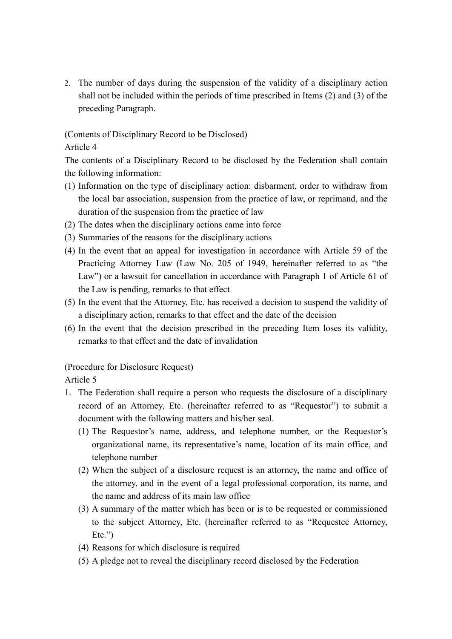2. The number of days during the suspension of the validity of a disciplinary action shall not be included within the periods of time prescribed in Items (2) and (3) of the preceding Paragraph.

(Contents of Disciplinary Record to be Disclosed)

### Article 4

The contents of a Disciplinary Record to be disclosed by the Federation shall contain the following information:

- (1) Information on the type of disciplinary action: disbarment, order to withdraw from the local bar association, suspension from the practice of law, or reprimand, and the duration of the suspension from the practice of law
- (2) The dates when the disciplinary actions came into force
- (3) Summaries of the reasons for the disciplinary actions
- (4) In the event that an appeal for investigation in accordance with Article 59 of the Practicing Attorney Law (Law No. 205 of 1949, hereinafter referred to as "the Law") or a lawsuit for cancellation in accordance with Paragraph 1 of Article 61 of the Law is pending, remarks to that effect
- (5) In the event that the Attorney, Etc. has received a decision to suspend the validity of a disciplinary action, remarks to that effect and the date of the decision
- (6) In the event that the decision prescribed in the preceding Item loses its validity, remarks to that effect and the date of invalidation

(Procedure for Disclosure Request)

Article 5

- 1. The Federation shall require a person who requests the disclosure of a disciplinary record of an Attorney, Etc. (hereinafter referred to as "Requestor") to submit a document with the following matters and his/her seal.
	- (1) The Requestor's name, address, and telephone number, or the Requestor's organizational name, its representative's name, location of its main office, and telephone number
	- (2) When the subject of a disclosure request is an attorney, the name and office of the attorney, and in the event of a legal professional corporation, its name, and the name and address of its main law office
	- (3) A summary of the matter which has been or is to be requested or commissioned to the subject Attorney, Etc. (hereinafter referred to as "Requestee Attorney,  $Etc.'$
	- (4) Reasons for which disclosure is required
	- (5) A pledge not to reveal the disciplinary record disclosed by the Federation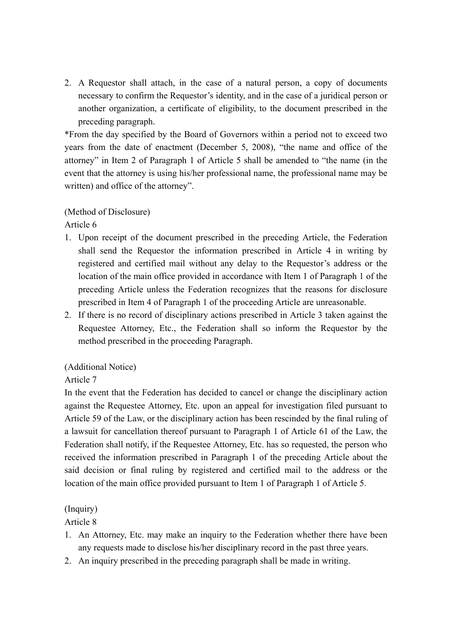2. A Requestor shall attach, in the case of a natural person, a copy of documents necessary to confirm the Requestor's identity, and in the case of a juridical person or another organization, a certificate of eligibility, to the document prescribed in the preceding paragraph.

\*From the day specified by the Board of Governors within a period not to exceed two years from the date of enactment (December 5, 2008), "the name and office of the attorney" in Item 2 of Paragraph 1 of Article 5 shall be amended to "the name (in the event that the attorney is using his/her professional name, the professional name may be written) and office of the attorney".

## (Method of Disclosure)

Article 6

- 1. Upon receipt of the document prescribed in the preceding Article, the Federation shall send the Requestor the information prescribed in Article 4 in writing by registered and certified mail without any delay to the Requestor's address or the location of the main office provided in accordance with Item 1 of Paragraph 1 of the preceding Article unless the Federation recognizes that the reasons for disclosure prescribed in Item 4 of Paragraph 1 of the proceeding Article are unreasonable.
- 2. If there is no record of disciplinary actions prescribed in Article 3 taken against the Requestee Attorney, Etc., the Federation shall so inform the Requestor by the method prescribed in the proceeding Paragraph.

### (Additional Notice)

Article 7

In the event that the Federation has decided to cancel or change the disciplinary action against the Requestee Attorney, Etc. upon an appeal for investigation filed pursuant to Article 59 of the Law, or the disciplinary action has been rescinded by the final ruling of a lawsuit for cancellation thereof pursuant to Paragraph 1 of Article 61 of the Law, the Federation shall notify, if the Requestee Attorney, Etc. has so requested, the person who received the information prescribed in Paragraph 1 of the preceding Article about the said decision or final ruling by registered and certified mail to the address or the location of the main office provided pursuant to Item 1 of Paragraph 1 of Article 5.

## (Inquiry)

Article 8

- 1. An Attorney, Etc. may make an inquiry to the Federation whether there have been any requests made to disclose his/her disciplinary record in the past three years.
- 2. An inquiry prescribed in the preceding paragraph shall be made in writing.